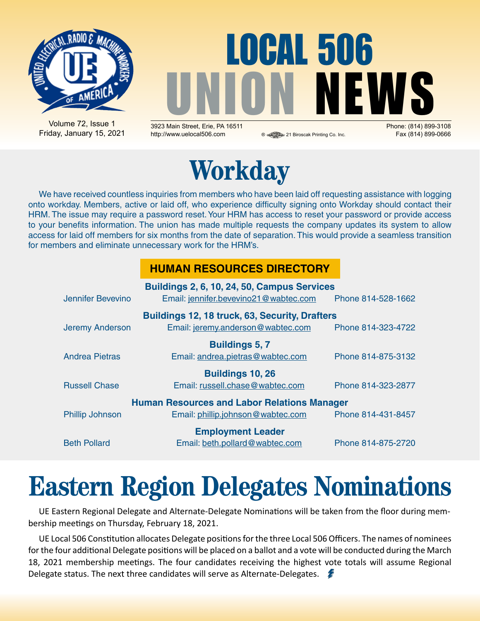

# LOCAL 506 UNION NEWS

Volume 72, Issue 1 Friday, January 15, 2021

3923 Main Street, Erie, PA 16511 Phone: (814) 899-3108 http://www.uelocal506.com ® 21 Biroscak Printing Co. Inc. Fax (814) 899-0666



We have received countless inquiries from members who have been laid off requesting assistance with logging onto workday. Members, active or laid off, who experience difficulty signing onto Workday should contact their HRM. The issue may require a password reset. Your HRM has access to reset your password or provide access to your benefits information. The union has made multiple requests the company updates its system to allow access for laid off members for six months from the date of separation. This would provide a seamless transition for members and eliminate unnecessary work for the HRM's.

#### **HUMAN RESOURCES DIRECTORY**

| Buildings 2, 6, 10, 24, 50, Campus Services           |                                       |                    |  |  |  |  |  |  |  |
|-------------------------------------------------------|---------------------------------------|--------------------|--|--|--|--|--|--|--|
| Jennifer Bevevino                                     | Email: jennifer.bevevino21@wabtec.com | Phone 814-528-1662 |  |  |  |  |  |  |  |
| <b>Buildings 12, 18 truck, 63, Security, Drafters</b> |                                       |                    |  |  |  |  |  |  |  |
| <b>Jeremy Anderson</b>                                | Email: jeremy.anderson@wabtec.com     | Phone 814-323-4722 |  |  |  |  |  |  |  |
|                                                       | <b>Buildings 5, 7</b>                 |                    |  |  |  |  |  |  |  |
| <b>Andrea Pietras</b>                                 | Email: andrea.pietras@wabtec.com      | Phone 814-875-3132 |  |  |  |  |  |  |  |
|                                                       | <b>Buildings 10, 26</b>               |                    |  |  |  |  |  |  |  |
| <b>Russell Chase</b>                                  | Email: russell.chase@wabtec.com       | Phone 814-323-2877 |  |  |  |  |  |  |  |
| <b>Human Resources and Labor Relations Manager</b>    |                                       |                    |  |  |  |  |  |  |  |
| <b>Phillip Johnson</b>                                | Email: phillip.johnson@wabtec.com     | Phone 814-431-8457 |  |  |  |  |  |  |  |
|                                                       | <b>Employment Leader</b>              |                    |  |  |  |  |  |  |  |
| <b>Beth Pollard</b>                                   | Email: beth.pollard@wabtec.com        | Phone 814-875-2720 |  |  |  |  |  |  |  |

# **Eastern Region Delegates Nominations**

UE Eastern Regional Delegate and Alternate-Delegate Nominations will be taken from the floor during membership meetings on Thursday, February 18, 2021.

UE Local 506 Constitution allocates Delegate positions for the three Local 506 Officers. The names of nominees for the four additional Delegate positions will be placed on a ballot and a vote will be conducted during the March 18, 2021 membership meetings. The four candidates receiving the highest vote totals will assume Regional Delegate status. The next three candidates will serve as Alternate-Delegates.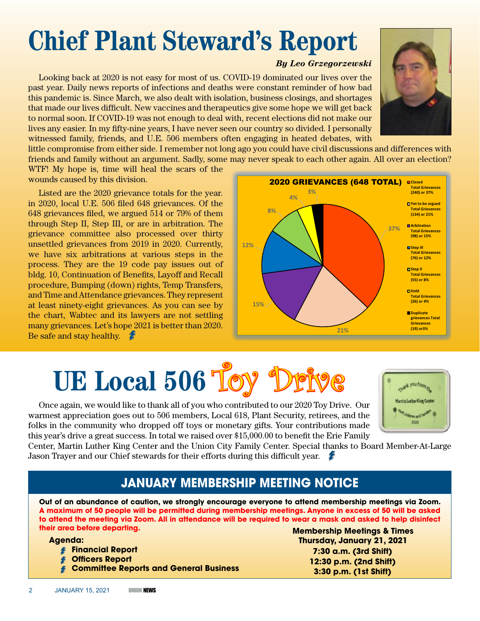# **Chief Plant Steward's Report**

#### *By Leo Grzegorzewski*

Looking back at 2020 is not easy for most of us. COVID-19 dominated our lives over the past year. Daily news reports of infections and deaths were constant reminder of how bad this pandemic is. Since March, we also dealt with isolation, business closings, and shortages that made our lives difficult. New vaccines and therapeutics give some hope we will get back to normal soon. If COVID-19 was not enough to deal with, recent elections did not make our lives any easier. In my fifty-nine years, I have never seen our country so divided. I personally witnessed family, friends, and U.E. 506 members often engaging in heated debates, with



WTF! My hope is, time will heal the scars of the wounds caused by this division.

Listed are the 2020 grievance totals for the year. in 2020, local U.E. 506 filed 648 grievances. Of the 648 grievances filed, we argued 514 or 79% of them through Step II, Step III, or are in arbitration. The grievance committee also processed over thirty unsettled grievances from 2019 in 2020. Currently, we have six arbitrations at various steps in the process. They are the 19 code pay issues out of bldg. 10, Continuation of Benefits, Layoff and Recall procedure, Bumping (down) rights, Temp Transfers, and Time and Attendance grievances. They represent at least ninety-eight grievances. As you can see by the chart, Wabtec and its lawyers are not settling many grievances. Let's hope 2021 is better than 2020. Be safe and stay healthy.

#### **37% 21% 15% 12% 8% 4% 3% 2020 GRIEVANCES (648 TOTAL) DClosed Total Grievances (240) or 37% Z**IYet to be argued **Total Grievances (134) or 21% Arbitration Total Grievances (98) or 15% D**Step III **Total Grievances (76) or 12% D**Step II **Total Grievances (55) or 8% Hold Total Grievances (26) or 4% Duplicate grievances Total Grievances (19) or3%**

# **UE Local 506 Toy**

Once again, we would like to thank all of you who contributed to our 2020 Toy Drive. Our warmest appreciation goes out to 506 members, Local 618, Plant Security, retirees, and the folks in the community who dropped off toys or monetary gifts. Your contributions made this year's drive a great success. In total we raised over \$15,000.00 to benefit the Erie Family



Center, Martin Luther King Center and the Union City Family Center. Special thanks to Board Member-At-Large Jason Trayer and our Chief stewards for their efforts during this difficult year.

#### **JANUARY Membership Meeting Notice**

**Out of an abundance of caution, we strongly encourage everyone to attend membership meetings via Zoom. A maximum of 50 people will be permitted during membership meetings. Anyone in excess of 50 will be asked to attend the meeting via Zoom. All in attendance will be required to wear a mask and asked to help disinfect their area before departing.**

**Agenda:** 

- **Financial Report**
- **Officers Report**

**Committee Reports and General Business**

**Membership Meetings & Times Thursday, January 21, 2021 7:30 a.m. (3rd Shift) 12:30 p.m. (2nd Shift) 3:30 p.m. (1st Shift)**

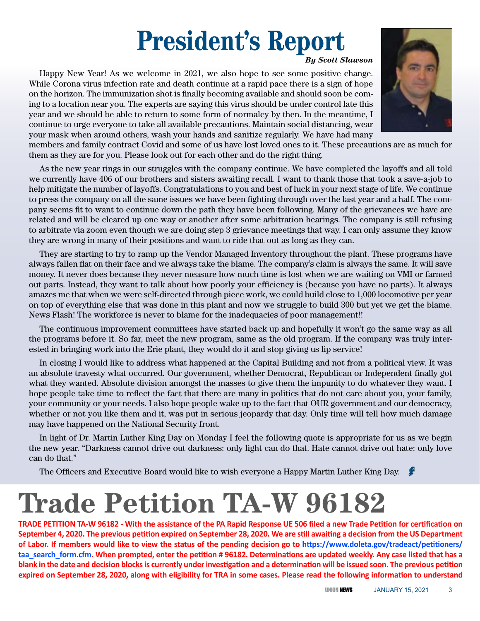## **President's Report**

#### *By Scott Slawson*

Happy New Year! As we welcome in 2021, we also hope to see some positive change. While Corona virus infection rate and death continue at a rapid pace there is a sign of hope on the horizon. The immunization shot is finally becoming available and should soon be coming to a location near you. The experts are saying this virus should be under control late this year and we should be able to return to some form of normalcy by then. In the meantime, I continue to urge everyone to take all available precautions. Maintain social distancing, wear your mask when around others, wash your hands and sanitize regularly. We have had many



members and family contract Covid and some of us have lost loved ones to it. These precautions are as much for them as they are for you. Please look out for each other and do the right thing.

As the new year rings in our struggles with the company continue. We have completed the layoffs and all told we currently have 406 of our brothers and sisters awaiting recall. I want to thank those that took a save-a-job to help mitigate the number of layoffs. Congratulations to you and best of luck in your next stage of life. We continue to press the company on all the same issues we have been fighting through over the last year and a half. The company seems fit to want to continue down the path they have been following. Many of the grievances we have are related and will be cleared up one way or another after some arbitration hearings. The company is still refusing to arbitrate via zoom even though we are doing step 3 grievance meetings that way. I can only assume they know they are wrong in many of their positions and want to ride that out as long as they can.

They are starting to try to ramp up the Vendor Managed Inventory throughout the plant. These programs have always fallen flat on their face and we always take the blame. The company's claim is always the same. It will save money. It never does because they never measure how much time is lost when we are waiting on VMI or farmed out parts. Instead, they want to talk about how poorly your efficiency is (because you have no parts). It always amazes me that when we were self-directed through piece work, we could build close to 1,000 locomotive per year on top of everything else that was done in this plant and now we struggle to build 300 but yet we get the blame. News Flash! The workforce is never to blame for the inadequacies of poor management!!

The continuous improvement committees have started back up and hopefully it won't go the same way as all the programs before it. So far, meet the new program, same as the old program. If the company was truly interested in bringing work into the Erie plant, they would do it and stop giving us lip service!

In closing I would like to address what happened at the Capital Building and not from a political view. It was an absolute travesty what occurred. Our government, whether Democrat, Republican or Independent finally got what they wanted. Absolute division amongst the masses to give them the impunity to do whatever they want. I hope people take time to reflect the fact that there are many in politics that do not care about you, your family, your community or your needs. I also hope people wake up to the fact that OUR government and our democracy, whether or not you like them and it, was put in serious jeopardy that day. Only time will tell how much damage may have happened on the National Security front.

In light of Dr. Martin Luther King Day on Monday I feel the following quote is appropriate for us as we begin the new year. "Darkness cannot drive out darkness: only light can do that. Hate cannot drive out hate: only love can do that."

The Officers and Executive Board would like to wish everyone a Happy Martin Luther King Day.

# **Trade Petition TA-W 96182**

**TRADE PETITION TA-W 96182 - With the assistance of the PA Rapid Response UE 506 filed a new Trade Petition for certification on September 4, 2020. The previous petition expired on September 28, 2020. We are still awaiting a decision from the US Department of Labor. If members would like to view the status of the pending decision go to https://www.doleta.gov/tradeact/petitioners/ taa\_search\_form.cfm. When prompted, enter the petition # 96182. Determinations are updated weekly. Any case listed that has a blank in the date and decision blocks is currently under investigation and a determination will be issued soon. The previous petition expired on September 28, 2020, along with eligibility for TRA in some cases. Please read the following information to understand**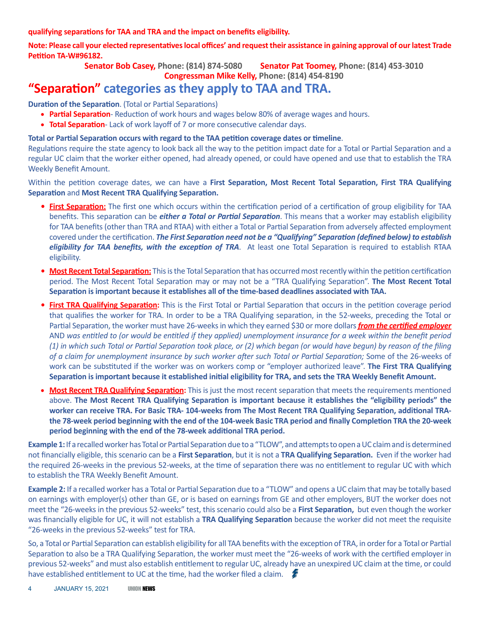**qualifying separations for TAA and TRA and the impact on benefits eligibility.**

**Note: Please call your elected representatives local offices' and request their assistance in gaining approval of our latest Trade Petition TA-W#96182.**

**Senator Bob Casey, Phone: (814) 874-5080 Senator Pat Toomey, Phone: (814) 453-3010**

**Congressman Mike Kelly, Phone: (814) 454-8190**

#### **"Separation" categories as they apply to TAA and TRA.**

**Duration of the Separation**. (Total or Partial Separations)

- **Partial Separation** Reduction of work hours and wages below 80% of average wages and hours.
- **Total Separation** Lack of work layoff of 7 or more consecutive calendar days.

#### **Total or Partial Separation occurs with regard to the TAA petition coverage dates or timeline**.

Regulations require the state agency to look back all the way to the petition impact date for a Total or Partial Separation and a regular UC claim that the worker either opened, had already opened, or could have opened and use that to establish the TRA Weekly Benefit Amount.

Within the petition coverage dates, we can have a **First Separation, Most Recent Total Separation, First TRA Qualifying Separation** and **Most Recent TRA Qualifying Separation.** 

- **•** First Separation: The first one which occurs within the certification period of a certification of group eligibility for TAA benefits. This separation can be *either a Total or Partial Separation*. This means that a worker may establish eligibility for TAA benefits (other than TRA and RTAA) with either a Total or Partial Separation from adversely affected employment covered under the certification. *The First Separation need not be a "Qualifying" Separation (defined below) to establish eligibility for TAA benefits, with the exception of TRA*. At least one Total Separation is required to establish RTAA eligibility.
- **Most Recent Total Separation:** This is the Total Separation that has occurred most recently within the petition certification period. The Most Recent Total Separation may or may not be a "TRA Qualifying Separation". **The Most Recent Total Separation is important because it establishes all of the time-based deadlines associated with TAA.**
- **• First TRA Qualifying Separation:** This is the First Total or Partial Separation that occurs in the petition coverage period that qualifies the worker for TRA. In order to be a TRA Qualifying separation, in the 52-weeks, preceding the Total or Partial Separation, the worker must have 26-weeks in which they earned \$30 or more dollars *from the certified employer* AND *was entitled to (or would be entitled if they applied) unemployment insurance for a week within the benefit period (1) in which such Total or Partial Separation took place, or (2) which began (or would have begun) by reason of the filing of a claim for unemployment insurance by such worker after such Total or Partial Separation;* Some of the 26-weeks of work can be substituted if the worker was on workers comp or "employer authorized leave". **The First TRA Qualifying Separation is important because it established initial eligibility for TRA, and sets the TRA Weekly Benefit Amount.**
- • **Most Recent TRA Qualifying Separation:** This is just the most recent separation that meets the requirements mentioned above. **The Most Recent TRA Qualifying Separation is important because it establishes the "eligibility periods" the worker can receive TRA. For Basic TRA- 104-weeks from The Most Recent TRA Qualifying Separation, additional TRAthe 78-week period beginning with the end of the 104-week Basic TRA period and finally Completion TRA the 20-week period beginning with the end of the 78-week additional TRA period.**

**Example 1:** If a recalled worker has Total or Partial Separation due to a "TLOW", and attempts to open a UC claim and is determined not financially eligible, this scenario can be a **First Separation**, but it is not a **TRA Qualifying Separation.** Even if the worker had the required 26-weeks in the previous 52-weeks, at the time of separation there was no entitlement to regular UC with which to establish the TRA Weekly Benefit Amount.

**Example 2:** If a recalled worker has a Total or Partial Separation due to a "TLOW" and opens a UC claim that may be totally based on earnings with employer(s) other than GE, or is based on earnings from GE and other employers, BUT the worker does not meet the "26-weeks in the previous 52-weeks" test, this scenario could also be a **First Separation,** but even though the worker was financially eligible for UC, it will not establish a **TRA Qualifying Separation** because the worker did not meet the requisite "26-weeks in the previous 52-weeks" test for TRA.

So, a Total or Partial Separation can establish eligibility for all TAA benefits with the exception of TRA, in order for a Total or Partial Separation to also be a TRA Qualifying Separation, the worker must meet the "26-weeks of work with the certified employer in previous 52-weeks" and must also establish entitlement to regular UC, already have an unexpired UC claim at the time, or could have established entitlement to UC at the time, had the worker filed a claim.  $\mathcal{L}$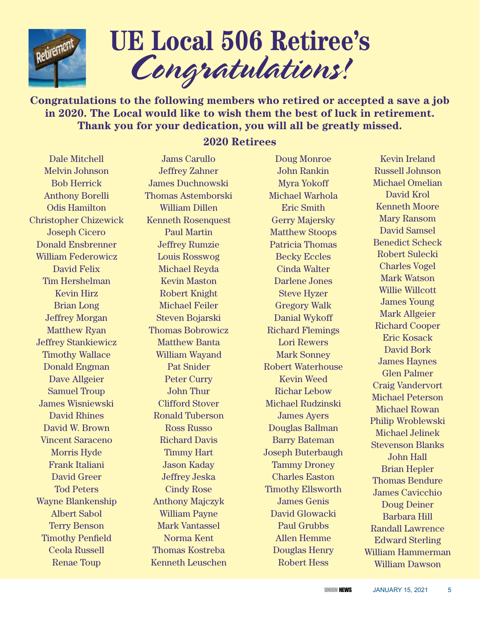

# **UE Local 506 Retiree's** *Congratulations!*

**Congratulations to the following members who retired or accepted a save a job in 2020. The Local would like to wish them the best of luck in retirement. Thank you for your dedication, you will all be greatly missed.**

**2020 Retirees**

#### Dale Mitchell Melvin Johnson Bob Herrick Anthony Borelli Odis Hamilton Christopher Chizewick Joseph Cicero Donald Ensbrenner William Federowicz David Felix Tim Hershelman Kevin Hirz Brian Long Jeffrey Morgan Matthew Ryan Jeffrey Stankiewicz Timothy Wallace Donald Engman Dave Allgeier Samuel Troup James Wisniewski David Rhines David W. Brown Vincent Saraceno Morris Hyde Frank Italiani David Greer Tod Peters Wayne Blankenship Albert Sabol Terry Benson Timothy Penfield Ceola Russell Renae Toup

#### Jams Carullo Jeffrey Zahner James Duchnowski Thomas Astemborski William Dillen Kenneth Rosenquest Paul Martin Jeffrey Rumzie Louis Rosswog Michael Reyda Kevin Maston Robert Knight Michael Feiler Steven Bojarski Thomas Bobrowicz Matthew Banta William Wayand Pat Snider Peter Curry John Thur Clifford Stover Ronald Tuberson Ross Russo Richard Davis Timmy Hart Jason Kaday Jeffrey Jeska Cindy Rose Anthony Majczyk William Payne Mark Vantassel Norma Kent Thomas Kostreba Kenneth Leuschen

Doug Monroe John Rankin Myra Yokoff Michael Warhola Eric Smith Gerry Majersky Matthew Stoops Patricia Thomas Becky Eccles Cinda Walter Darlene Jones Steve Hyzer Gregory Walk Danial Wykoff Richard Flemings Lori Rewers Mark Sonney Robert Waterhouse Kevin Weed Richar Lebow Michael Rudzinski James Ayers Douglas Ballman Barry Bateman Joseph Buterbaugh Tammy Droney Charles Easton Timothy Ellsworth James Genis David Glowacki Paul Grubbs Allen Hemme Douglas Henry Robert Hess

Kevin Ireland Russell Johnson Michael Omelian David Krol Kenneth Moore Mary Ransom David Samsel Benedict Scheck Robert Sulecki Charles Vogel Mark Watson Willie Willcott James Young Mark Allgeier Richard Cooper Eric Kosack David Bork James Haynes Glen Palmer Craig Vandervort Michael Peterson Michael Rowan Philip Wroblewski Michael Jelinek Stevenson Blanks John Hall Brian Hepler Thomas Bendure James Cavicchio Doug Deiner Barbara Hill Randall Lawrence Edward Sterling William Hammerman William Dawson